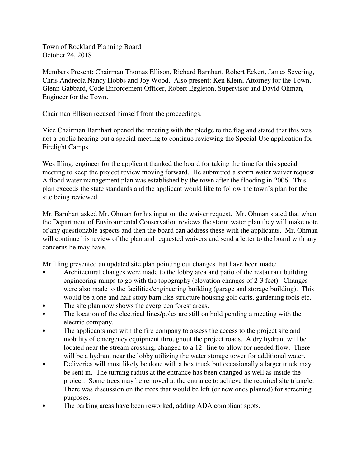Town of Rockland Planning Board October 24, 2018

Members Present: Chairman Thomas Ellison, Richard Barnhart, Robert Eckert, James Severing, Chris Andreola Nancy Hobbs and Joy Wood. Also present: Ken Klein, Attorney for the Town, Glenn Gabbard, Code Enforcement Officer, Robert Eggleton, Supervisor and David Ohman, Engineer for the Town.

Chairman Ellison recused himself from the proceedings.

Vice Chairman Barnhart opened the meeting with the pledge to the flag and stated that this was not a public hearing but a special meeting to continue reviewing the Special Use application for Firelight Camps.

Wes Illing, engineer for the applicant thanked the board for taking the time for this special meeting to keep the project review moving forward. He submitted a storm water waiver request. A flood water management plan was established by the town after the flooding in 2006. This plan exceeds the state standards and the applicant would like to follow the town's plan for the site being reviewed.

Mr. Barnhart asked Mr. Ohman for his input on the waiver request. Mr. Ohman stated that when the Department of Environmental Conservation reviews the storm water plan they will make note of any questionable aspects and then the board can address these with the applicants. Mr. Ohman will continue his review of the plan and requested waivers and send a letter to the board with any concerns he may have.

Mr Illing presented an updated site plan pointing out changes that have been made:

- Architectural changes were made to the lobby area and patio of the restaurant building engineering ramps to go with the topography (elevation changes of 2-3 feet). Changes were also made to the facilities/engineering building (garage and storage building). This would be a one and half story barn like structure housing golf carts, gardening tools etc.
- The site plan now shows the evergreen forest areas.
- The location of the electrical lines/poles are still on hold pending a meeting with the electric company.
- The applicants met with the fire company to assess the access to the project site and mobility of emergency equipment throughout the project roads. A dry hydrant will be located near the stream crossing, changed to a 12" line to allow for needed flow. There will be a hydrant near the lobby utilizing the water storage tower for additional water.
- Deliveries will most likely be done with a box truck but occasionally a larger truck may be sent in. The turning radius at the entrance has been changed as well as inside the project. Some trees may be removed at the entrance to achieve the required site triangle. There was discussion on the trees that would be left (or new ones planted) for screening purposes.
- The parking areas have been reworked, adding ADA compliant spots.